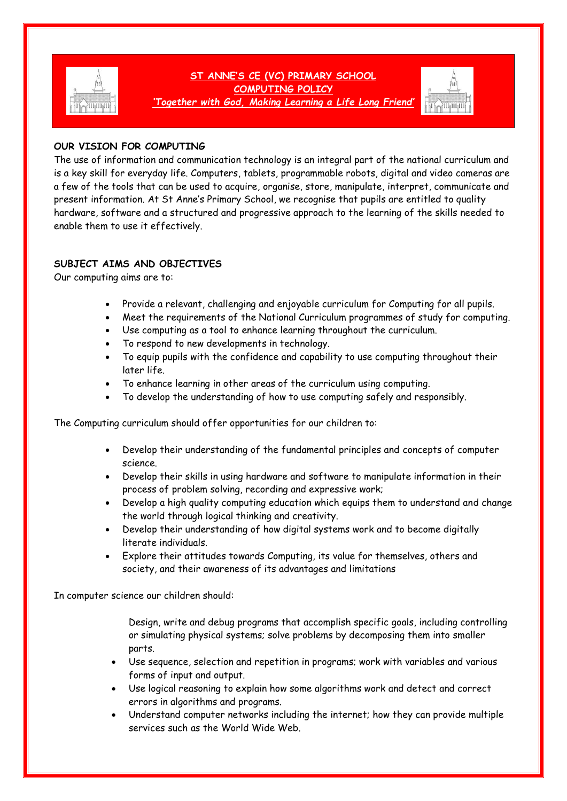

# **ST ANNE'S CE (VC) PRIMARY SCHOOL COMPUTING POLICY**

*'Together with God, Making Learning a Life Long Friend'*



# **OUR VISION FOR COMPUTING**

The use of information and communication technology is an integral part of the national curriculum and is a key skill for everyday life. Computers, tablets, programmable robots, digital and video cameras are a few of the tools that can be used to acquire, organise, store, manipulate, interpret, communicate and present information. At St Anne's Primary School, we recognise that pupils are entitled to quality hardware, software and a structured and progressive approach to the learning of the skills needed to enable them to use it effectively.

# **SUBJECT AIMS AND OBJECTIVES**

Our computing aims are to:

- Provide a relevant, challenging and enjoyable curriculum for Computing for all pupils.
- Meet the requirements of the National Curriculum programmes of study for computing.
- Use computing as a tool to enhance learning throughout the curriculum.
- To respond to new developments in technology.
- To equip pupils with the confidence and capability to use computing throughout their later life.
- To enhance learning in other areas of the curriculum using computing.
- To develop the understanding of how to use computing safely and responsibly.

The Computing curriculum should offer opportunities for our children to:

- Develop their understanding of the fundamental principles and concepts of computer science.
- Develop their skills in using hardware and software to manipulate information in their process of problem solving, recording and expressive work;
- Develop a high quality computing education which equips them to understand and change the world through logical thinking and creativity.
- Develop their understanding of how digital systems work and to become digitally literate individuals.
- Explore their attitudes towards Computing, its value for themselves, others and society, and their awareness of its advantages and limitations

In computer science our children should:

Design, write and debug programs that accomplish specific goals, including controlling or simulating physical systems; solve problems by decomposing them into smaller parts.

- Use sequence, selection and repetition in programs; work with variables and various forms of input and output.
- Use logical reasoning to explain how some algorithms work and detect and correct errors in algorithms and programs.
- Understand computer networks including the internet; how they can provide multiple services such as the World Wide Web.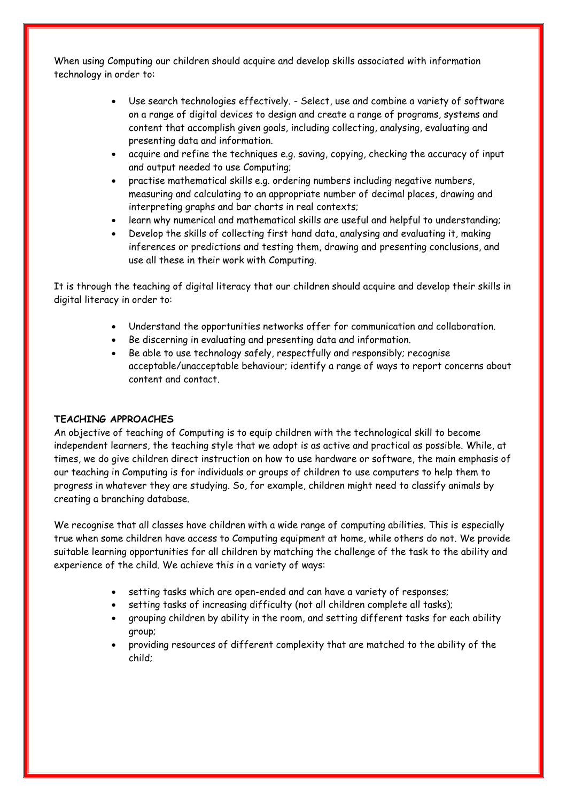When using Computing our children should acquire and develop skills associated with information technology in order to:

- Use search technologies effectively. Select, use and combine a variety of software on a range of digital devices to design and create a range of programs, systems and content that accomplish given goals, including collecting, analysing, evaluating and presenting data and information.
- acquire and refine the techniques e.g. saving, copying, checking the accuracy of input and output needed to use Computing;
- practise mathematical skills e.g. ordering numbers including negative numbers, measuring and calculating to an appropriate number of decimal places, drawing and interpreting graphs and bar charts in real contexts;
- learn why numerical and mathematical skills are useful and helpful to understanding;
- Develop the skills of collecting first hand data, analysing and evaluating it, making inferences or predictions and testing them, drawing and presenting conclusions, and use all these in their work with Computing.

It is through the teaching of digital literacy that our children should acquire and develop their skills in digital literacy in order to:

- Understand the opportunities networks offer for communication and collaboration.
- Be discerning in evaluating and presenting data and information.
- Be able to use technology safely, respectfully and responsibly; recognise acceptable/unacceptable behaviour; identify a range of ways to report concerns about content and contact.

# **TEACHING APPROACHES**

An objective of teaching of Computing is to equip children with the technological skill to become independent learners, the teaching style that we adopt is as active and practical as possible. While, at times, we do give children direct instruction on how to use hardware or software, the main emphasis of our teaching in Computing is for individuals or groups of children to use computers to help them to progress in whatever they are studying. So, for example, children might need to classify animals by creating a branching database.

We recognise that all classes have children with a wide range of computing abilities. This is especially true when some children have access to Computing equipment at home, while others do not. We provide suitable learning opportunities for all children by matching the challenge of the task to the ability and experience of the child. We achieve this in a variety of ways:

- setting tasks which are open-ended and can have a variety of responses;
- setting tasks of increasing difficulty (not all children complete all tasks);
- grouping children by ability in the room, and setting different tasks for each ability group;
- providing resources of different complexity that are matched to the ability of the child;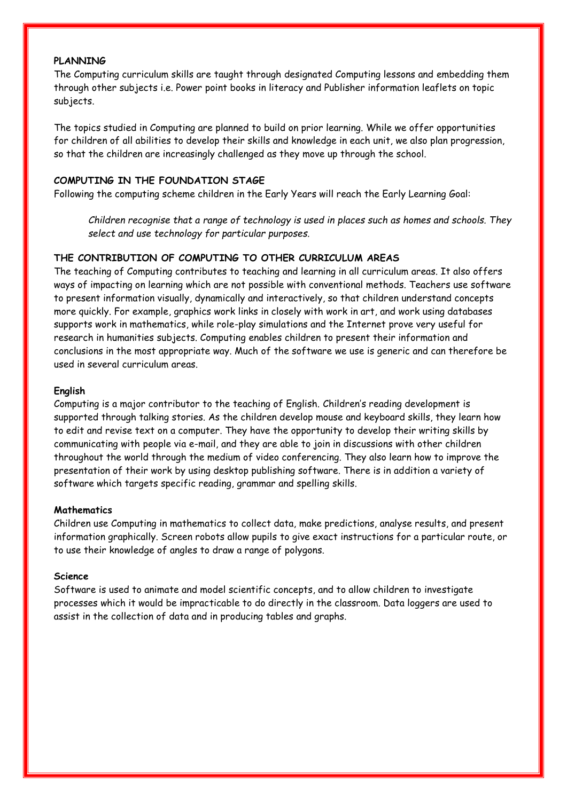#### **PLANNING**

The Computing curriculum skills are taught through designated Computing lessons and embedding them through other subjects i.e. Power point books in literacy and Publisher information leaflets on topic subjects.

The topics studied in Computing are planned to build on prior learning. While we offer opportunities for children of all abilities to develop their skills and knowledge in each unit, we also plan progression, so that the children are increasingly challenged as they move up through the school.

### **COMPUTING IN THE FOUNDATION STAGE**

Following the computing scheme children in the Early Years will reach the Early Learning Goal:

*Children recognise that a range of technology is used in places such as homes and schools. They select and use technology for particular purposes.*

# **THE CONTRIBUTION OF COMPUTING TO OTHER CURRICULUM AREAS**

The teaching of Computing contributes to teaching and learning in all curriculum areas. It also offers ways of impacting on learning which are not possible with conventional methods. Teachers use software to present information visually, dynamically and interactively, so that children understand concepts more quickly. For example, graphics work links in closely with work in art, and work using databases supports work in mathematics, while role-play simulations and the Internet prove very useful for research in humanities subjects. Computing enables children to present their information and conclusions in the most appropriate way. Much of the software we use is generic and can therefore be used in several curriculum areas.

#### **English**

Computing is a major contributor to the teaching of English. Children's reading development is supported through talking stories. As the children develop mouse and keyboard skills, they learn how to edit and revise text on a computer. They have the opportunity to develop their writing skills by communicating with people via e-mail, and they are able to join in discussions with other children throughout the world through the medium of video conferencing. They also learn how to improve the presentation of their work by using desktop publishing software. There is in addition a variety of software which targets specific reading, grammar and spelling skills.

#### **Mathematics**

Children use Computing in mathematics to collect data, make predictions, analyse results, and present information graphically. Screen robots allow pupils to give exact instructions for a particular route, or to use their knowledge of angles to draw a range of polygons.

#### **Science**

Software is used to animate and model scientific concepts, and to allow children to investigate processes which it would be impracticable to do directly in the classroom. Data loggers are used to assist in the collection of data and in producing tables and graphs.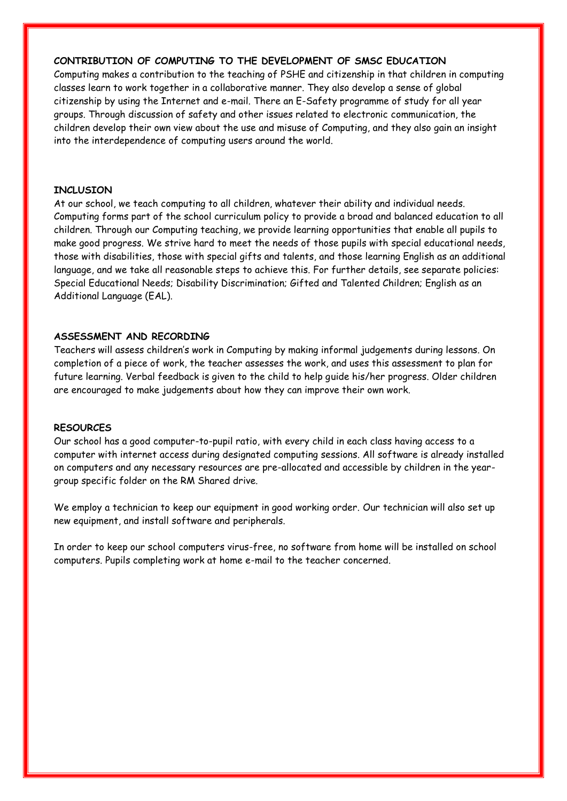## **CONTRIBUTION OF COMPUTING TO THE DEVELOPMENT OF SMSC EDUCATION**

Computing makes a contribution to the teaching of PSHE and citizenship in that children in computing classes learn to work together in a collaborative manner. They also develop a sense of global citizenship by using the Internet and e-mail. There an E-Safety programme of study for all year groups. Through discussion of safety and other issues related to electronic communication, the children develop their own view about the use and misuse of Computing, and they also gain an insight into the interdependence of computing users around the world.

#### **INCLUSION**

At our school, we teach computing to all children, whatever their ability and individual needs. Computing forms part of the school curriculum policy to provide a broad and balanced education to all children. Through our Computing teaching, we provide learning opportunities that enable all pupils to make good progress. We strive hard to meet the needs of those pupils with special educational needs, those with disabilities, those with special gifts and talents, and those learning English as an additional language, and we take all reasonable steps to achieve this. For further details, see separate policies: Special Educational Needs; Disability Discrimination; Gifted and Talented Children; English as an Additional Language (EAL).

### **ASSESSMENT AND RECORDING**

Teachers will assess children's work in Computing by making informal judgements during lessons. On completion of a piece of work, the teacher assesses the work, and uses this assessment to plan for future learning. Verbal feedback is given to the child to help guide his/her progress. Older children are encouraged to make judgements about how they can improve their own work.

#### **RESOURCES**

Our school has a good computer-to-pupil ratio, with every child in each class having access to a computer with internet access during designated computing sessions. All software is already installed on computers and any necessary resources are pre-allocated and accessible by children in the yeargroup specific folder on the RM Shared drive.

We employ a technician to keep our equipment in good working order. Our technician will also set up new equipment, and install software and peripherals.

In order to keep our school computers virus-free, no software from home will be installed on school computers. Pupils completing work at home e-mail to the teacher concerned.